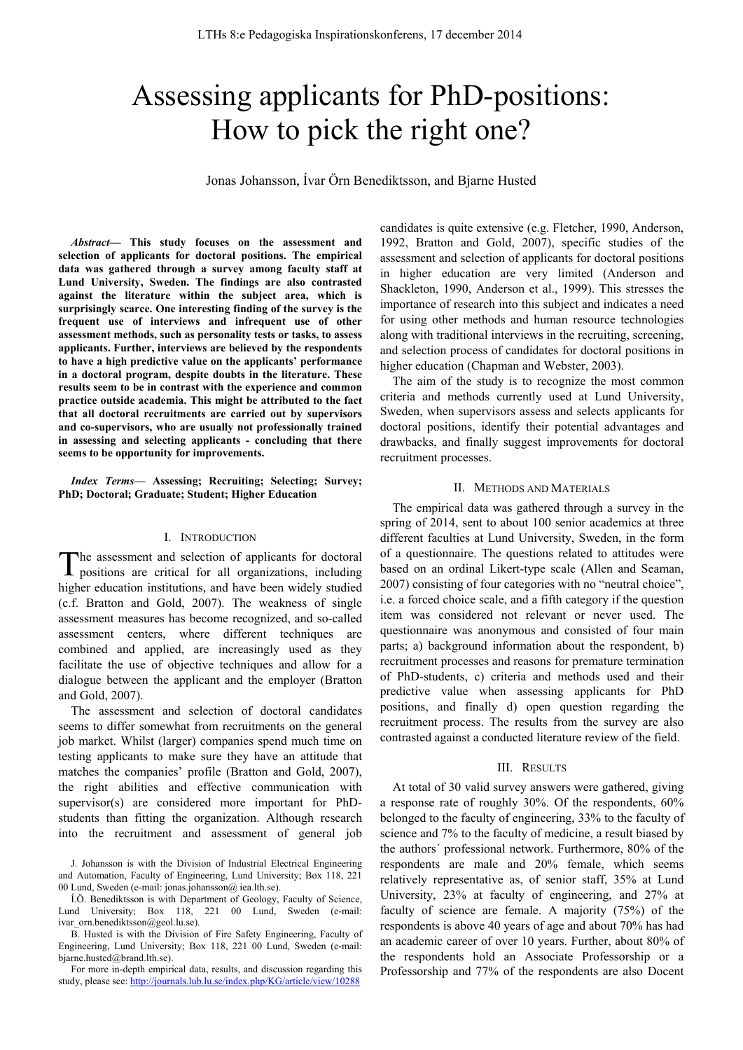# Assessing applicants for PhD-positions: How to pick the right one?

Jonas Johansson, Ívar Örn Benediktsson, and Bjarne Husted

*Abstract***— This study focuses on the assessment and selection of applicants for doctoral positions. The empirical data was gathered through a survey among faculty staff at Lund University, Sweden. The findings are also contrasted against the literature within the subject area, which is surprisingly scarce. One interesting finding of the survey is the frequent use of interviews and infrequent use of other assessment methods, such as personality tests or tasks, to assess applicants. Further, interviews are believed by the respondents to have a high predictive value on the applicants' performance in a doctoral program, despite doubts in the literature. These results seem to be in contrast with the experience and common practice outside academia. This might be attributed to the fact that all doctoral recruitments are carried out by supervisors and co-supervisors, who are usually not professionally trained in assessing and selecting applicants - concluding that there seems to be opportunity for improvements.** 

*Index Terms***— Assessing; Recruiting; Selecting; Survey; PhD; Doctoral; Graduate; Student; Higher Education** 

## I. INTRODUCTION

The assessment and selection of applicants for doctoral positions are critical for all organizations, including positions are critical for all organizations, including higher education institutions, and have been widely studied (c.f. Bratton and Gold, 2007). The weakness of single assessment measures has become recognized, and so-called assessment centers, where different techniques are combined and applied, are increasingly used as they facilitate the use of objective techniques and allow for a dialogue between the applicant and the employer (Bratton and Gold, 2007).

The assessment and selection of doctoral candidates seems to differ somewhat from recruitments on the general job market. Whilst (larger) companies spend much time on testing applicants to make sure they have an attitude that matches the companies' profile (Bratton and Gold, 2007), the right abilities and effective communication with supervisor(s) are considered more important for PhDstudents than fitting the organization. Although research into the recruitment and assessment of general job

For more in-depth empirical data, results, and discussion regarding this study, please see: http://journals.lub.lu.se/index.php/KG/article/view/10288

candidates is quite extensive (e.g. Fletcher, 1990, Anderson, 1992, Bratton and Gold, 2007), specific studies of the assessment and selection of applicants for doctoral positions in higher education are very limited (Anderson and Shackleton, 1990, Anderson et al., 1999). This stresses the importance of research into this subject and indicates a need for using other methods and human resource technologies along with traditional interviews in the recruiting, screening, and selection process of candidates for doctoral positions in higher education (Chapman and Webster, 2003).

The aim of the study is to recognize the most common criteria and methods currently used at Lund University, Sweden, when supervisors assess and selects applicants for doctoral positions, identify their potential advantages and drawbacks, and finally suggest improvements for doctoral recruitment processes.

## II. METHODS AND MATERIALS

The empirical data was gathered through a survey in the spring of 2014, sent to about 100 senior academics at three different faculties at Lund University, Sweden, in the form of a questionnaire. The questions related to attitudes were based on an ordinal Likert-type scale (Allen and Seaman, 2007) consisting of four categories with no "neutral choice", i.e. a forced choice scale, and a fifth category if the question item was considered not relevant or never used. The questionnaire was anonymous and consisted of four main parts; a) background information about the respondent, b) recruitment processes and reasons for premature termination of PhD-students, c) criteria and methods used and their predictive value when assessing applicants for PhD positions, and finally d) open question regarding the recruitment process. The results from the survey are also contrasted against a conducted literature review of the field.

### III. RESULTS

At total of 30 valid survey answers were gathered, giving a response rate of roughly 30%. Of the respondents, 60% belonged to the faculty of engineering, 33% to the faculty of science and 7% to the faculty of medicine, a result biased by the authors´ professional network. Furthermore, 80% of the respondents are male and 20% female, which seems relatively representative as, of senior staff, 35% at Lund University, 23% at faculty of engineering, and 27% at faculty of science are female. A majority (75%) of the respondents is above 40 years of age and about 70% has had an academic career of over 10 years. Further, about 80% of the respondents hold an Associate Professorship or a Professorship and 77% of the respondents are also Docent

J. Johansson is with the Division of Industrial Electrical Engineering and Automation, Faculty of Engineering, Lund University; Box 118, 221 00 Lund, Sweden (e-mail: jonas.johansson@ iea.lth.se).

Í.Ö. Benediktsson is with Department of Geology, Faculty of Science, Lund University; Box 118, 221 00 Lund, Sweden (e-mail: ivar\_orn.benediktsson@geol.lu.se).

B. Husted is with the Division of Fire Safety Engineering, Faculty of Engineering, Lund University; Box 118, 221 00 Lund, Sweden (e-mail: bjarne.husted@brand.lth.se).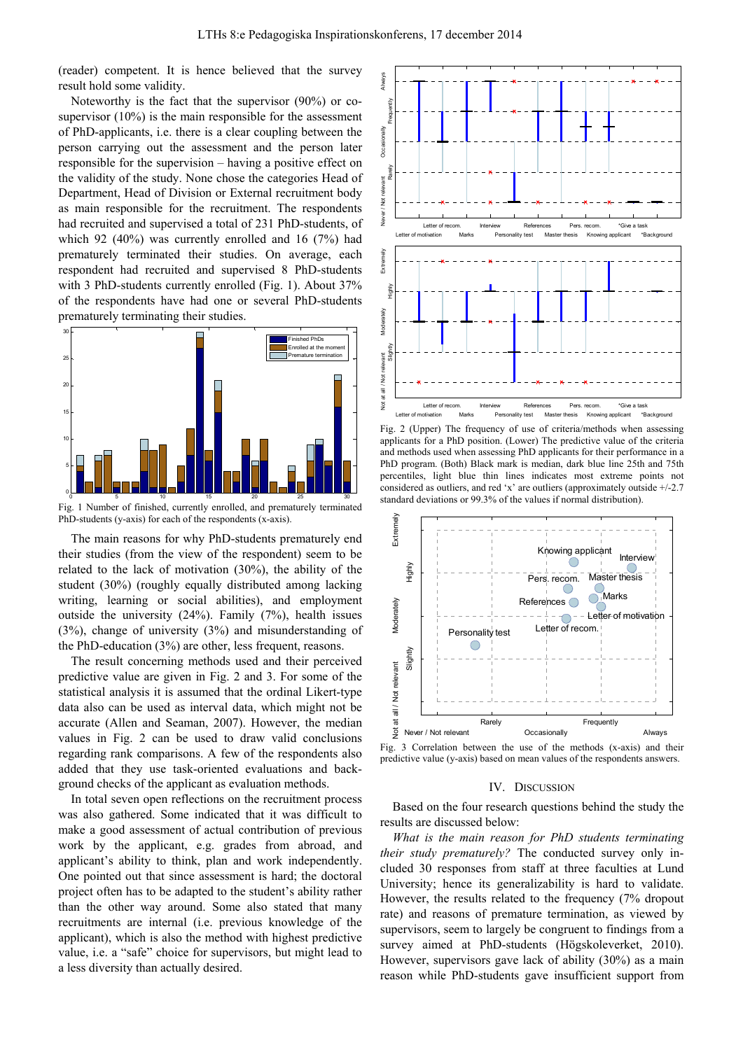(reader) competent. It is hence believed that the survey result hold some validity.

Noteworthy is the fact that the supervisor (90%) or cosupervisor (10%) is the main responsible for the assessment of PhD-applicants, i.e. there is a clear coupling between the person carrying out the assessment and the person later responsible for the supervision – having a positive effect on the validity of the study. None chose the categories Head of Department, Head of Division or External recruitment body as main responsible for the recruitment. The respondents had recruited and supervised a total of 231 PhD-students, of which 92 (40%) was currently enrolled and 16 (7%) had prematurely terminated their studies. On average, each respondent had recruited and supervised 8 PhD-students with 3 PhD-students currently enrolled (Fig. 1). About 37% of the respondents have had one or several PhD-students prematurely terminating their studies.



Fig. 1 Number of finished, currently enrolled, and prematurely terminated PhD-students (y-axis) for each of the respondents (x-axis).

The main reasons for why PhD-students prematurely end their studies (from the view of the respondent) seem to be related to the lack of motivation (30%), the ability of the student (30%) (roughly equally distributed among lacking writing, learning or social abilities), and employment outside the university (24%). Family (7%), health issues (3%), change of university (3%) and misunderstanding of the PhD-education (3%) are other, less frequent, reasons.

The result concerning methods used and their perceived predictive value are given in Fig. 2 and 3. For some of the statistical analysis it is assumed that the ordinal Likert-type data also can be used as interval data, which might not be accurate (Allen and Seaman, 2007). However, the median values in Fig. 2 can be used to draw valid conclusions regarding rank comparisons. A few of the respondents also added that they use task-oriented evaluations and background checks of the applicant as evaluation methods.

In total seven open reflections on the recruitment process was also gathered. Some indicated that it was difficult to make a good assessment of actual contribution of previous work by the applicant, e.g. grades from abroad, and applicant's ability to think, plan and work independently. One pointed out that since assessment is hard; the doctoral project often has to be adapted to the student's ability rather than the other way around. Some also stated that many recruitments are internal (i.e. previous knowledge of the applicant), which is also the method with highest predictive value, i.e. a "safe" choice for supervisors, but might lead to a less diversity than actually desired.



Fig. 2 (Upper) The frequency of use of criteria/methods when assessing applicants for a PhD position. (Lower) The predictive value of the criteria and methods used when assessing PhD applicants for their performance in a PhD program. (Both) Black mark is median, dark blue line 25th and 75th percentiles, light blue thin lines indicates most extreme points not considered as outliers, and red 'x' are outliers (approximately outside +/-2.7 standard deviations or 99.3% of the values if normal distribution).



Fig. 3 Correlation between the use of the methods (x-axis) and their predictive value (y-axis) based on mean values of the respondents answers.

## IV. DISCUSSION

Based on the four research questions behind the study the results are discussed below:

*What is the main reason for PhD students terminating their study prematurely?* The conducted survey only included 30 responses from staff at three faculties at Lund University; hence its generalizability is hard to validate. However, the results related to the frequency (7% dropout rate) and reasons of premature termination, as viewed by supervisors, seem to largely be congruent to findings from a survey aimed at PhD-students (Högskoleverket, 2010). However, supervisors gave lack of ability (30%) as a main reason while PhD-students gave insufficient support from